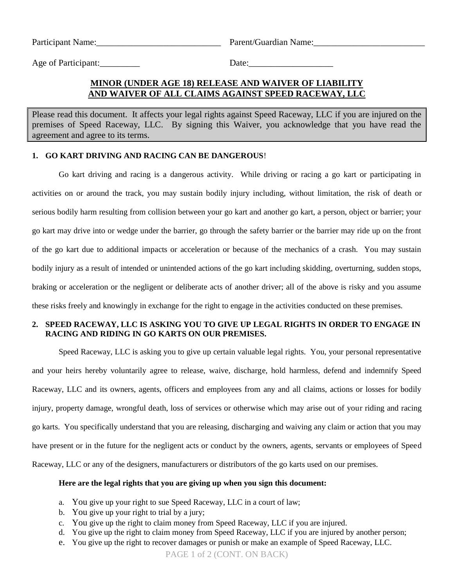Participant Name: The Participant Name: The Parent/Guardian Name:

Age of Participant:  $\qquad \qquad$  Date:

# **MINOR (UNDER AGE 18) RELEASE AND WAIVER OF LIABILITY AND WAIVER OF ALL CLAIMS AGAINST SPEED RACEWAY, LLC**

Please read this document. It affects your legal rights against Speed Raceway, LLC if you are injured on the premises of Speed Raceway, LLC. By signing this Waiver, you acknowledge that you have read the agreement and agree to its terms.

## **1. GO KART DRIVING AND RACING CAN BE DANGEROUS**!

Go kart driving and racing is a dangerous activity. While driving or racing a go kart or participating in activities on or around the track, you may sustain bodily injury including, without limitation, the risk of death or serious bodily harm resulting from collision between your go kart and another go kart, a person, object or barrier; your go kart may drive into or wedge under the barrier, go through the safety barrier or the barrier may ride up on the front of the go kart due to additional impacts or acceleration or because of the mechanics of a crash. You may sustain bodily injury as a result of intended or unintended actions of the go kart including skidding, overturning, sudden stops, braking or acceleration or the negligent or deliberate acts of another driver; all of the above is risky and you assume these risks freely and knowingly in exchange for the right to engage in the activities conducted on these premises.

# **2. SPEED RACEWAY, LLC IS ASKING YOU TO GIVE UP LEGAL RIGHTS IN ORDER TO ENGAGE IN RACING AND RIDING IN GO KARTS ON OUR PREMISES.**

Speed Raceway, LLC is asking you to give up certain valuable legal rights. You, your personal representative and your heirs hereby voluntarily agree to release, waive, discharge, hold harmless, defend and indemnify Speed Raceway, LLC and its owners, agents, officers and employees from any and all claims, actions or losses for bodily injury, property damage, wrongful death, loss of services or otherwise which may arise out of your riding and racing go karts. You specifically understand that you are releasing, discharging and waiving any claim or action that you may have present or in the future for the negligent acts or conduct by the owners, agents, servants or employees of Speed Raceway, LLC or any of the designers, manufacturers or distributors of the go karts used on our premises.

## **Here are the legal rights that you are giving up when you sign this document:**

- a. You give up your right to sue Speed Raceway, LLC in a court of law;
- b. You give up your right to trial by a jury;
- c. You give up the right to claim money from Speed Raceway, LLC if you are injured.
- d. You give up the right to claim money from Speed Raceway, LLC if you are injured by another person;
- e. You give up the right to recover damages or punish or make an example of Speed Raceway, LLC.